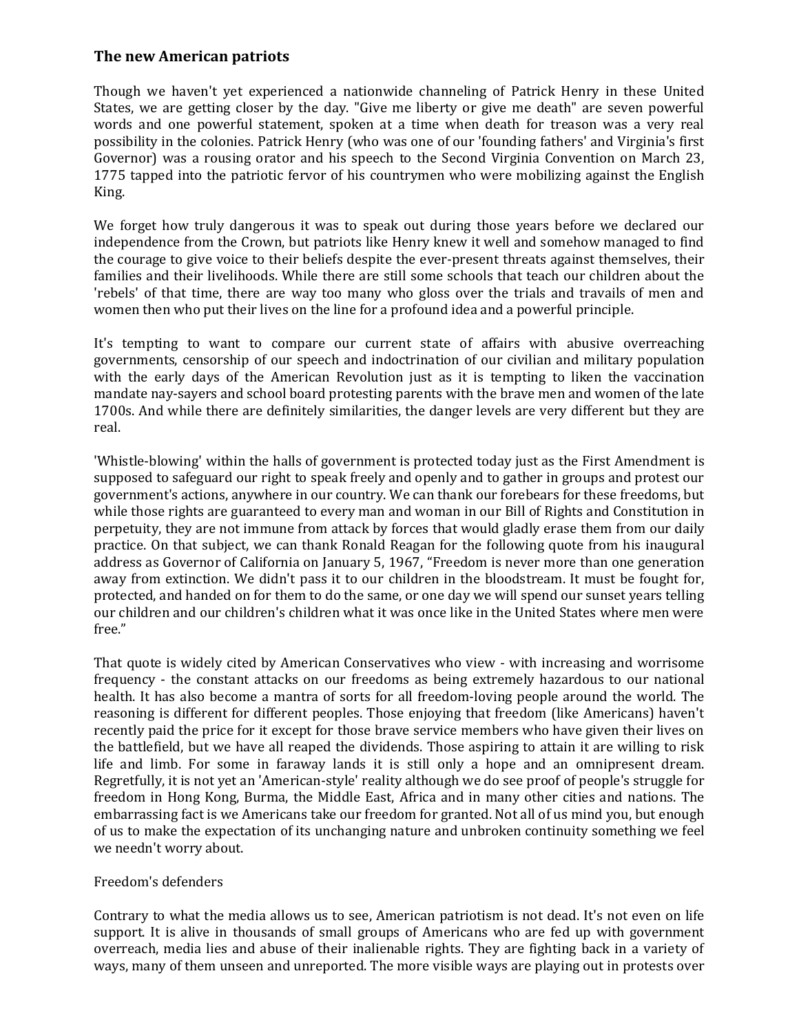## **The new American patriots**

Though we haven't yet experienced a nationwide channeling of Patrick Henry in these United States, we are getting closer by the day. "Give me liberty or give me death" are seven powerful words and one powerful statement, spoken at a time when death for treason was a very real possibility in the colonies. Patrick Henry (who was one of our 'founding fathers' and Virginia's first Governor) was a rousing orator and his speech to the Second Virginia Convention on March 23, 1775 tapped into the patriotic fervor of his countrymen who were mobilizing against the English King.

We forget how truly dangerous it was to speak out during those years before we declared our independence from the Crown, but patriots like Henry knew it well and somehow managed to find the courage to give voice to their beliefs despite the ever-present threats against themselves, their families and their livelihoods. While there are still some schools that teach our children about the 'rebels' of that time, there are way too many who gloss over the trials and travails of men and women then who put their lives on the line for a profound idea and a powerful principle.

It's tempting to want to compare our current state of affairs with abusive overreaching governments, censorship of our speech and indoctrination of our civilian and military population with the early days of the American Revolution just as it is tempting to liken the vaccination mandate nay-sayers and school board protesting parents with the brave men and women of the late 1700s. And while there are definitely similarities, the danger levels are very different but they are real.

'Whistle-blowing' within the halls of government is protected today just as the First Amendment is supposed to safeguard our right to speak freely and openly and to gather in groups and protest our government's actions, anywhere in our country. We can thank our forebears for these freedoms, but while those rights are guaranteed to every man and woman in our Bill of Rights and Constitution in perpetuity, they are not immune from attack by forces that would gladly erase them from our daily practice. On that subject, we can thank Ronald Reagan for the following quote from his inaugural address as Governor of California on January 5, 1967, "Freedom is never more than one generation away from extinction. We didn't pass it to our children in the bloodstream. It must be fought for, protected, and handed on for them to do the same, or one day we will spend our sunset years telling our children and our children's children what it was once like in the United States where men were free."

That quote is widely cited by American Conservatives who view - with increasing and worrisome frequency - the constant attacks on our freedoms as being extremely hazardous to our national health. It has also become a mantra of sorts for all freedom-loving people around the world. The reasoning is different for different peoples. Those enjoying that freedom (like Americans) haven't recently paid the price for it except for those brave service members who have given their lives on the battlefield, but we have all reaped the dividends. Those aspiring to attain it are willing to risk life and limb. For some in faraway lands it is still only a hope and an omnipresent dream. Regretfully, it is not yet an 'American-style' reality although we do see proof of people's struggle for freedom in Hong Kong, Burma, the Middle East, Africa and in many other cities and nations. The embarrassing fact is we Americans take our freedom for granted. Not all of us mind you, but enough of us to make the expectation of its unchanging nature and unbroken continuity something we feel we needn't worry about.

## Freedom's defenders

Contrary to what the media allows us to see, American patriotism is not dead. It's not even on life support. It is alive in thousands of small groups of Americans who are fed up with government overreach, media lies and abuse of their inalienable rights. They are fighting back in a variety of ways, many of them unseen and unreported. The more visible ways are playing out in protests over